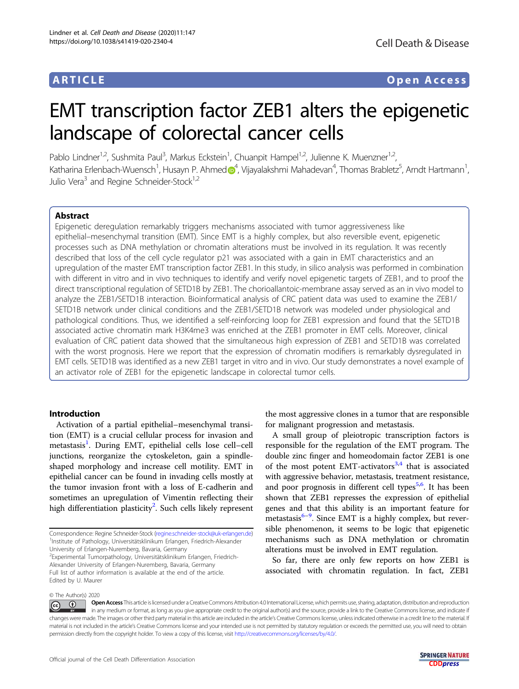# ARTICLE Open Access

# EMT transcription factor ZEB1 alters the epigenetic landscape of colorectal cancer cells

Pablo Lindner<sup>1,2</sup>, Sushmita Paul<sup>3</sup>, Markus Eckstein<sup>1</sup>, Chuanpit Hampel<sup>1,2</sup>, Julienne K. Muenzner<sup>1,2</sup> .<br>י Katharina Erlenbach-Wuensch<sup>1</sup>, Husayn P. Ahme[d](http://orcid.org/0000-0003-4472-2067) <mark>o</mark><sup>[4](http://orcid.org/0000-0003-4472-2067)</sup>, Vijayalakshmi Mahadevan<sup>4</sup>, Thomas Brabletz<sup>5</sup>, Arndt Hartmann<sup>1</sup> , Julio Vera<sup>3</sup> and Regine Schneider-Stock<sup>1,2</sup>

# Abstract

Epigenetic deregulation remarkably triggers mechanisms associated with tumor aggressiveness like epithelial–mesenchymal transition (EMT). Since EMT is a highly complex, but also reversible event, epigenetic processes such as DNA methylation or chromatin alterations must be involved in its regulation. It was recently described that loss of the cell cycle regulator p21 was associated with a gain in EMT characteristics and an upregulation of the master EMT transcription factor ZEB1. In this study, in silico analysis was performed in combination with different in vitro and in vivo techniques to identify and verify novel epigenetic targets of ZEB1, and to proof the direct transcriptional regulation of SETD1B by ZEB1. The chorioallantoic-membrane assay served as an in vivo model to analyze the ZEB1/SETD1B interaction. Bioinformatical analysis of CRC patient data was used to examine the ZEB1/ SETD1B network under clinical conditions and the ZEB1/SETD1B network was modeled under physiological and pathological conditions. Thus, we identified a self-reinforcing loop for ZEB1 expression and found that the SETD1B associated active chromatin mark H3K4me3 was enriched at the ZEB1 promoter in EMT cells. Moreover, clinical evaluation of CRC patient data showed that the simultaneous high expression of ZEB1 and SETD1B was correlated with the worst prognosis. Here we report that the expression of chromatin modifiers is remarkably dysregulated in EMT cells. SETD1B was identified as a new ZEB1 target in vitro and in vivo. Our study demonstrates a novel example of an activator role of ZEB1 for the epigenetic landscape in colorectal tumor cells.

# Introduction

Activation of a partial epithelial–mesenchymal transition (EMT) is a crucial cellular process for invasion and metastasis<sup>[1](#page-12-0)</sup>. During EMT, epithelial cells lose cell-cell junctions, reorganize the cytoskeleton, gain a spindleshaped morphology and increase cell motility. EMT in epithelial cancer can be found in invading cells mostly at the tumor invasion front with a loss of E-cadherin and sometimes an upregulation of Vimentin reflecting their high differentiation plasticity<sup>[2](#page-12-0)</sup>. Such cells likely represent

2 Experimental Tumorpathology, Universitätsklinikum Erlangen, Friedrich-Alexander University of Erlangen-Nuremberg, Bavaria, Germany Full list of author information is available at the end of the article. Edited by U. Maurer

the most aggressive clones in a tumor that are responsible for malignant progression and metastasis.

A small group of pleiotropic transcription factors is responsible for the regulation of the EMT program. The double zinc finger and homeodomain factor ZEB1 is one of the most potent EMT-activators<sup>[3,4](#page-12-0)</sup> that is associated with aggressive behavior, metastasis, treatment resistance, and poor prognosis in different cell types<sup>[5,6](#page-12-0)</sup>. It has been shown that ZEB1 represses the expression of epithelial genes and that this ability is an important feature for metastasis[6](#page-12-0)–[9](#page-12-0) . Since EMT is a highly complex, but reversible phenomenon, it seems to be logic that epigenetic mechanisms such as DNA methylation or chromatin alterations must be involved in EMT regulation.

So far, there are only few reports on how ZEB1 is associated with chromatin regulation. In fact, ZEB1

© The Author(s) 2020

 $\circledcirc$   $\circledcirc$ Open Access This article is licensed under a Creative Commons Attribution 4.0 International License, which permits use, sharing, adaptation, distribution and reproduction in any medium or format, as long as you give appropriate credit to the original author(s) and the source, provide a link to the Creative Commons license, and indicate if changes were made. The images or other third party material in this article are included in the article's Creative Commons license, unless indicated otherwise in a credit line to the material. If material is not included in the article's Creative Commons license and your intended use is not permitted by statutory regulation or exceeds the permitted use, you will need to obtain permission directly from the copyright holder. To view a copy of this license, visit <http://creativecommons.org/licenses/by/4.0/>.

Correspondence: Regine Schneider-Stock [\(regine.schneider-stock@uk-erlangen.de\)](mailto:regine.schneider-stock@uk-erlangen.de) <sup>1</sup>Institute of Pathology, Universitätsklinikum Erlangen, Friedrich-Alexander University of Erlangen-Nuremberg, Bavaria, Germany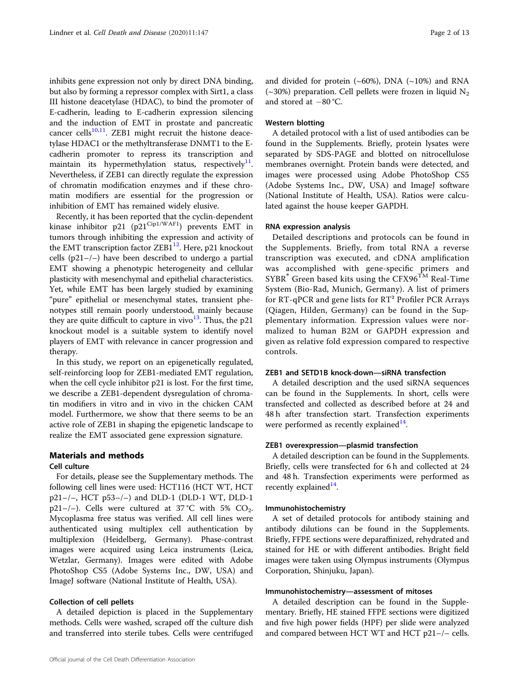inhibits gene expression not only by direct DNA binding, but also by forming a repressor complex with Sirt1, a class III histone deacetylase (HDAC), to bind the promoter of E-cadherin, leading to E-cadherin expression silencing and the induction of EMT in prostate and pancreatic cancer cells $10,11$  $10,11$  $10,11$ . ZEB1 might recruit the histone deacetylase HDAC1 or the methyltransferase DNMT1 to the Ecadherin promoter to repress its transcription and maintain its hypermethylation status, respectively<sup>[11](#page-12-0)</sup>. Nevertheless, if ZEB1 can directly regulate the expression of chromatin modification enzymes and if these chromatin modifiers are essential for the progression or inhibition of EMT has remained widely elusive.

Recently, it has been reported that the cyclin-dependent kinase inhibitor p21 (p21<sup>Cip1/WAF1</sup>) prevents EMT in tumors through inhibiting the expression and activity of the EMT transcription factor  $ZEB1^{12}$  $ZEB1^{12}$  $ZEB1^{12}$ . Here, p21 knockout cells (p21–/–) have been described to undergo a partial EMT showing a phenotypic heterogeneity and cellular plasticity with mesenchymal and epithelial characteristics. Yet, while EMT has been largely studied by examining "pure" epithelial or mesenchymal states, transient phenotypes still remain poorly understood, mainly because they are quite difficult to capture in vivo $13$ . Thus, the p21 knockout model is a suitable system to identify novel players of EMT with relevance in cancer progression and therapy.

In this study, we report on an epigenetically regulated, self-reinforcing loop for ZEB1-mediated EMT regulation, when the cell cycle inhibitor p21 is lost. For the first time, we describe a ZEB1-dependent dysregulation of chromatin modifiers in vitro and in vivo in the chicken CAM model. Furthermore, we show that there seems to be an active role of ZEB1 in shaping the epigenetic landscape to realize the EMT associated gene expression signature.

# Materials and methods Cell culture

For details, please see the Supplementary methods. The following cell lines were used: HCT116 (HCT WT, HCT p21–/–, HCT p53–/–) and DLD-1 (DLD-1 WT, DLD-1 p21-/-). Cells were cultured at 37 °C with 5%  $CO_2$ . Mycoplasma free status was verified. All cell lines were authenticated using multiplex cell authentication by multiplexion (Heidelberg, Germany). Phase-contrast images were acquired using Leica instruments (Leica, Wetzlar, Germany). Images were edited with Adobe PhotoShop CS5 (Adobe Systems Inc., DW, USA) and ImageJ software (National Institute of Health, USA).

# Collection of cell pellets

A detailed depiction is placed in the Supplementary methods. Cells were washed, scraped off the culture dish and transferred into sterile tubes. Cells were centrifuged and divided for protein  $({\sim}60\%)$ , DNA  $({\sim}10\%)$  and RNA  $(\sim 30\%)$  preparation. Cell pellets were frozen in liquid N<sub>2</sub> and stored at −80 °C.

# Western blotting

A detailed protocol with a list of used antibodies can be found in the Supplements. Briefly, protein lysates were separated by SDS-PAGE and blotted on nitrocellulose membranes overnight. Protein bands were detected, and images were processed using Adobe PhotoShop CS5 (Adobe Systems Inc., DW, USA) and ImageJ software (National Institute of Health, USA). Ratios were calculated against the house keeper GAPDH.

#### RNA expression analysis

Detailed descriptions and protocols can be found in the Supplements. Briefly, from total RNA a reverse transcription was executed, and cDNA amplification was accomplished with gene-specific primers and  $SYBR<sup>®</sup>$  Green based kits using the CFX96<sup>TM</sup> Real-Time System (Bio-Rad, Munich, Germany). A list of primers for RT-qPCR and gene lists for RT² Profiler PCR Arrays (Qiagen, Hilden, Germany) can be found in the Supplementary information. Expression values were normalized to human B2M or GAPDH expression and given as relative fold expression compared to respective controls.

### ZEB1 and SETD1B knock-down—siRNA transfection

A detailed description and the used siRNA sequences can be found in the Supplements. In short, cells were transfected and collected as described before at 24 and 48 h after transfection start. Transfection experiments were performed as recently explained $14$ .

# ZEB1 overexpression—plasmid transfection

A detailed description can be found in the Supplements. Briefly, cells were transfected for 6 h and collected at 24 and 48 h. Transfection experiments were performed as recently explained<sup>[14](#page-12-0)</sup>.

#### Immunohistochemistry

A set of detailed protocols for antibody staining and antibody dilutions can be found in the Supplements. Briefly, FFPE sections were deparaffinized, rehydrated and stained for HE or with different antibodies. Bright field images were taken using Olympus instruments (Olympus Corporation, Shinjuku, Japan).

#### Immunohistochemistry—assessment of mitoses

A detailed description can be found in the Supplementary. Briefly, HE stained FFPE sections were digitized and five high power fields (HPF) per slide were analyzed and compared between HCT WT and HCT p21–/– cells.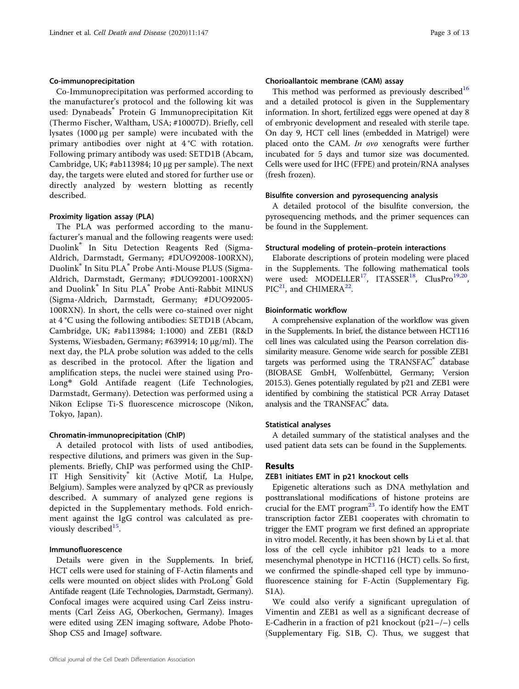#### Co-immunoprecipitation

Co-Immunoprecipitation was performed according to the manufacturer's protocol and the following kit was used: Dynabeads® Protein G Immunoprecipitation Kit (Thermo Fischer, Waltham, USA; #10007D). Briefly, cell lysates (1000 μg per sample) were incubated with the primary antibodies over night at 4 °C with rotation. Following primary antibody was used: SETD1B (Abcam, Cambridge, UK; #ab113984; 10 μg per sample). The next day, the targets were eluted and stored for further use or directly analyzed by western blotting as recently described.

#### Proximity ligation assay (PLA)

The PLA was performed according to the manufacturer's manual and the following reagents were used: Duolink® In Situ Detection Reagents Red (Sigma-Aldrich, Darmstadt, Germany; #DUO92008-100RXN), Duolink® In Situ PLA® Probe Anti-Mouse PLUS (Sigma-Aldrich, Darmstadt, Germany; #DUO92001-100RXN) and Duolink® In Situ PLA® Probe Anti-Rabbit MINUS (Sigma-Aldrich, Darmstadt, Germany; #DUO92005- 100RXN). In short, the cells were co-stained over night at 4 °C using the following antibodies: SETD1B (Abcam, Cambridge, UK; #ab113984; 1:1000) and ZEB1 (R&D Systems, Wiesbaden, Germany; #639914; 10 μg/ml). The next day, the PLA probe solution was added to the cells as described in the protocol. After the ligation and amplification steps, the nuclei were stained using Pro-Long® Gold Antifade reagent (Life Technologies, Darmstadt, Germany). Detection was performed using a Nikon Eclipse Ti-S fluorescence microscope (Nikon, Tokyo, Japan).

#### Chromatin-immunoprecipitation (ChIP)

A detailed protocol with lists of used antibodies, respective dilutions, and primers was given in the Supplements. Briefly, ChIP was performed using the ChIP-IT High Sensitivity® kit (Active Motif, La Hulpe, Belgium). Samples were analyzed by qPCR as previously described. A summary of analyzed gene regions is depicted in the Supplementary methods. Fold enrichment against the IgG control was calculated as pre-viously described<sup>[15](#page-12-0)</sup>.

# Immunofluorescence

Details were given in the Supplements. In brief, HCT cells were used for staining of F-Actin filaments and cells were mounted on object slides with ProLong<sup>®</sup> Gold Antifade reagent (Life Technologies, Darmstadt, Germany). Confocal images were acquired using Carl Zeiss instruments (Carl Zeiss AG, Oberkochen, Germany). Images were edited using ZEN imaging software, Adobe Photo-Shop CS5 and ImageJ software.

#### Chorioallantoic membrane (CAM) assay

This method was performed as previously described<sup>[16](#page-12-0)</sup> and a detailed protocol is given in the Supplementary information. In short, fertilized eggs were opened at day 8 of embryonic development and resealed with sterile tape. On day 9, HCT cell lines (embedded in Matrigel) were placed onto the CAM. In ovo xenografts were further incubated for 5 days and tumor size was documented. Cells were used for IHC (FFPE) and protein/RNA analyses (fresh frozen).

#### Bisulfite conversion and pyrosequencing analysis

A detailed protocol of the bisulfite conversion, the pyrosequencing methods, and the primer sequences can be found in the Supplement.

#### Structural modeling of protein–protein interactions

Elaborate descriptions of protein modeling were placed in the Supplements. The following mathematical tools were used: MODELLER<sup>[17](#page-12-0)</sup>, ITASSER<sup>[18](#page-12-0)</sup>, ClusPro<sup>[19,20](#page-12-0)</sup>,  $\text{PIC}^{21}$  $\text{PIC}^{21}$  $\text{PIC}^{21}$ , and CHIMERA<sup>[22](#page-12-0)</sup>.

### Bioinformatic workflow

A comprehensive explanation of the workflow was given in the Supplements. In brief, the distance between HCT116 cell lines was calculated using the Pearson correlation dissimilarity measure. Genome wide search for possible ZEB1 targets was performed using the TRANSFAC® database (BIOBASE GmbH, Wolfenbüttel, Germany; Version 2015.3). Genes potentially regulated by p21 and ZEB1 were identified by combining the statistical PCR Array Dataset analysis and the TRANSFAC® data.

#### Statistical analyses

A detailed summary of the statistical analyses and the used patient data sets can be found in the Supplements.

# Results

#### ZEB1 initiates EMT in p21 knockout cells

Epigenetic alterations such as DNA methylation and posttranslational modifications of histone proteins are crucial for the EMT program $^{23}$  $^{23}$  $^{23}$ . To identify how the EMT transcription factor ZEB1 cooperates with chromatin to trigger the EMT program we first defined an appropriate in vitro model. Recently, it has been shown by Li et al. that loss of the cell cycle inhibitor p21 leads to a more mesenchymal phenotype in HCT116 (HCT) cells. So first, we confirmed the spindle-shaped cell type by immunofluorescence staining for F-Actin (Supplementary Fig. S1A).

We could also verify a significant upregulation of Vimentin and ZEB1 as well as a significant decrease of E-Cadherin in a fraction of p21 knockout (p21–/–) cells (Supplementary Fig. S1B, C). Thus, we suggest that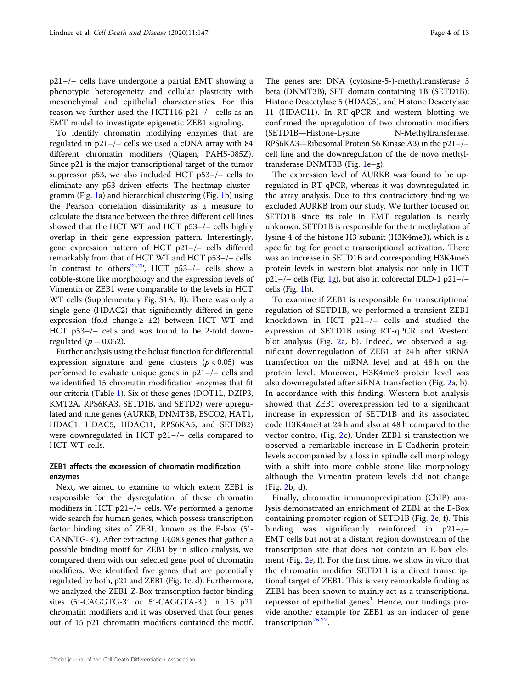p21–/– cells have undergone a partial EMT showing a phenotypic heterogeneity and cellular plasticity with mesenchymal and epithelial characteristics. For this reason we further used the HCT116 p21–/– cells as an EMT model to investigate epigenetic ZEB1 signaling.

To identify chromatin modifying enzymes that are regulated in p21–/– cells we used a cDNA array with 84 different chromatin modifiers (Qiagen, PAHS-085Z). Since p21 is the major transcriptional target of the tumor suppressor p53, we also included HCT p53–/– cells to eliminate any p53 driven effects. The heatmap clustergramm (Fig. [1](#page-4-0)a) and hierarchical clustering (Fig. [1](#page-4-0)b) using the Pearson correlation dissimilarity as a measure to calculate the distance between the three different cell lines showed that the HCT WT and HCT p53–/– cells highly overlap in their gene expression pattern. Interestingly, gene expression pattern of HCT p21–/– cells differed remarkably from that of HCT WT and HCT p53–/– cells. In contrast to others<sup>[24,25](#page-12-0)</sup>, HCT p53-/- cells show a cobble-stone like morphology and the expression levels of Vimentin or ZEB1 were comparable to the levels in HCT WT cells (Supplementary Fig. S1A, B). There was only a single gene (HDAC2) that significantly differed in gene expression (fold change  $\geq \pm 2$ ) between HCT WT and HCT p53–/– cells and was found to be 2-fold downregulated ( $p = 0.052$ ).

Further analysis using the hclust function for differential expression signature and gene clusters ( $p < 0.05$ ) was performed to evaluate unique genes in p21–/– cells and we identified 15 chromatin modification enzymes that fit our criteria (Table [1\)](#page-5-0). Six of these genes (DOT1L, DZIP3, KMT2A, RPS6KA3, SETD1B, and SETD2) were upregulated and nine genes (AURKB, DNMT3B, ESCO2, HAT1, HDAC1, HDAC5, HDAC11, RPS6KA5, and SETDB2) were downregulated in HCT p21–/– cells compared to HCT WT cells.

# ZEB1 affects the expression of chromatin modification enzymes

Next, we aimed to examine to which extent ZEB1 is responsible for the dysregulation of these chromatin modifiers in HCT p21–/– cells. We performed a genome wide search for human genes, which possess transcription factor binding sites of ZEB1, known as the E-box (5′- CANNTG-3′). After extracting 13,083 genes that gather a possible binding motif for ZEB1 by in silico analysis, we compared them with our selected gene pool of chromatin modifiers. We identified five genes that are potentially regulated by both, p21 and ZEB1 (Fig. [1](#page-4-0)c, d). Furthermore, we analyzed the ZEB1 Z-Box transcription factor binding sites (5′-CAGGTG-3′ or 5′-CAGGTA-3′) in 15 p21 chromatin modifiers and it was observed that four genes out of 15 p21 chromatin modifiers contained the motif. The genes are: DNA (cytosine-5-)-methyltransferase 3 beta (DNMT3B), SET domain containing 1B (SETD1B), Histone Deacetylase 5 (HDAC5), and Histone Deacetylase 11 (HDAC11). In RT-qPCR and western blotting we confirmed the upregulation of two chromatin modifiers (SETD1B—Histone-Lysine N-Methyltransferase, RPS6KA3—Ribosomal Protein S6 Kinase A3) in the p21–/– cell line and the downregulation of the de novo methyltransferase DNMT3B (Fig. [1](#page-4-0)e–g).

The expression level of AURKB was found to be upregulated in RT-qPCR, whereas it was downregulated in the array analysis. Due to this contradictory finding we excluded AURKB from our study. We further focused on SETD1B since its role in EMT regulation is nearly unknown. SETD1B is responsible for the trimethylation of lysine 4 of the histone H3 subunit (H3K4me3), which is a specific tag for genetic transcriptional activation. There was an increase in SETD1B and corresponding H3K4me3 protein levels in western blot analysis not only in HCT p21–/– cells (Fig. [1](#page-4-0)g), but also in colorectal DLD-1 p21–/– cells (Fig. [1h](#page-4-0)).

To examine if ZEB1 is responsible for transcriptional regulation of SETD1B, we performed a transient ZEB1 knockdown in HCT p21–/– cells and studied the expression of SETD1B using RT-qPCR and Western blot analysis (Fig. [2a](#page-6-0), b). Indeed, we observed a significant downregulation of ZEB1 at 24 h after siRNA transfection on the mRNA level and at 48 h on the protein level. Moreover, H3K4me3 protein level was also downregulated after siRNA transfection (Fig. [2a](#page-6-0), b). In accordance with this finding, Western blot analysis showed that ZEB1 overexpression led to a significant increase in expression of SETD1B and its associated code H3K4me3 at 24 h and also at 48 h compared to the vector control (Fig. [2c](#page-6-0)). Under ZEB1 si transfection we observed a remarkable increase in E-Cadherin protein levels accompanied by a loss in spindle cell morphology with a shift into more cobble stone like morphology although the Vimentin protein levels did not change (Fig. [2](#page-6-0)b, d).

Finally, chromatin immunoprecipitation (ChIP) analysis demonstrated an enrichment of ZEB1 at the E-Box containing promoter region of SETD1B (Fig. [2](#page-6-0)e, f). This binding was significantly reinforced in p21–/– EMT cells but not at a distant region downstream of the transcription site that does not contain an E-box element (Fig. [2e](#page-6-0), f). For the first time, we show in vitro that the chromatin modifier SETD1B is a direct transcriptional target of ZEB1. This is very remarkable finding as ZEB1 has been shown to mainly act as a transcriptional repressor of epithelial genes<sup>[4](#page-12-0)</sup>. Hence, our findings provide another example for ZEB1 as an inducer of gene transcription<sup>[26,27](#page-12-0)</sup>.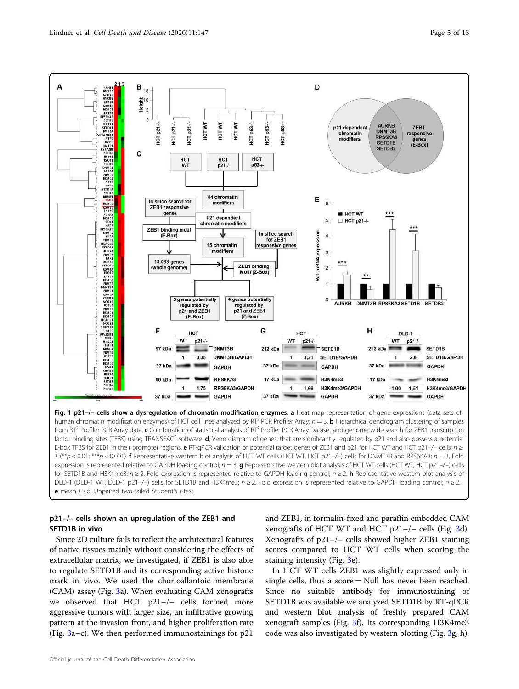<span id="page-4-0"></span>

# p21–/– cells shown an upregulation of the ZEB1 and SETD1B in vivo

Since 2D culture fails to reflect the architectural features of native tissues mainly without considering the effects of extracellular matrix, we investigated, if ZEB1 is also able to regulate SETD1B and its corresponding active histone mark in vivo. We used the chorioallantoic membrane (CAM) assay (Fig. [3a](#page-7-0)). When evaluating CAM xenografts we observed that HCT p21–/– cells formed more aggressive tumors with larger size, an infiltrative growing pattern at the invasion front, and higher proliferation rate (Fig.  $3a-c$  $3a-c$ ). We then performed immunostainings for p21

and ZEB1, in formalin-fixed and paraffin embedded CAM xenografts of HCT WT and HCT p21–/– cells (Fig. [3](#page-7-0)d). Xenografts of p21–/– cells showed higher ZEB1 staining scores compared to HCT WT cells when scoring the staining intensity (Fig. [3](#page-7-0)e).

In HCT WT cells ZEB1 was slightly expressed only in single cells, thus a score  $=$  Null has never been reached. Since no suitable antibody for immunostaining of SETD1B was available we analyzed SETD1B by RT-qPCR and western blot analysis of freshly prepared CAM xenograft samples (Fig. [3](#page-7-0)f). Its corresponding H3K4me3 code was also investigated by western blotting (Fig. [3g](#page-7-0), h).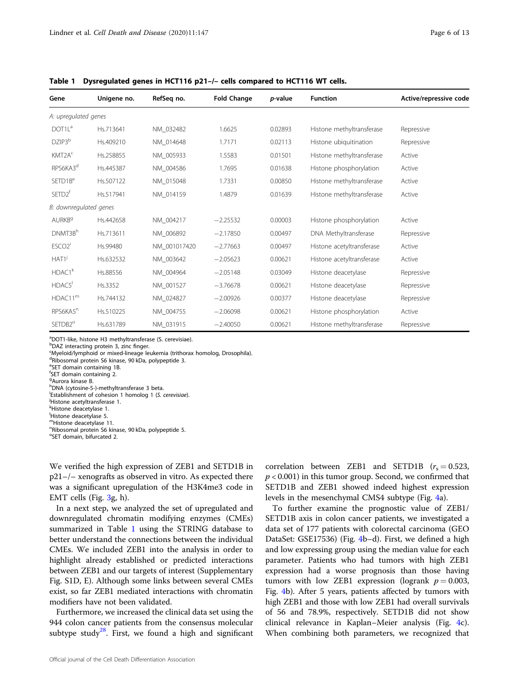| Gene                           | Unigene no. | RefSeq no.   | <b>Fold Change</b> | p-value | <b>Function</b>           | Active/repressive code |
|--------------------------------|-------------|--------------|--------------------|---------|---------------------------|------------------------|
| A: upregulated genes           |             |              |                    |         |                           |                        |
| DOT1L <sup>a</sup>             | Hs.713641   | NM 032482    | 1.6625             | 0.02893 | Histone methyltransferase | Repressive             |
| DZIP3 <sup>b</sup>             | Hs.409210   | NM 014648    | 1.7171             | 0.02113 | Histone ubiquitination    | Repressive             |
| KMT2A <sup>c</sup>             | Hs.258855   | NM_005933    | 1.5583             | 0.01501 | Histone methyltransferase | Active                 |
| RPS6KA3 <sup>d</sup>           | Hs.445387   | NM_004586    | 1.7695             | 0.01638 | Histone phosphorylation   | Active                 |
| SETD1B <sup>e</sup>            | Hs.507122   | NM 015048    | 1.7331             | 0.00850 | Histone methyltransferase | Active                 |
| SETD <sub>2</sub> <sup>f</sup> | Hs.517941   | NM 014159    | 1.4879             | 0.01639 | Histone methyltransferase | Active                 |
| B: downregulated genes         |             |              |                    |         |                           |                        |
| AURKB <sup>9</sup>             | Hs.442658   | NM 004217    | $-2.25532$         | 0.00003 | Histone phosphorylation   | Active                 |
| DNMT3Bh                        | Hs.713611   | NM 006892    | $-2.17850$         | 0.00497 | DNA Methyltransferase     | Repressive             |
| ESCO <sub>2</sub> <sup>i</sup> | Hs.99480    | NM 001017420 | $-2.77663$         | 0.00497 | Histone acetyltransferase | Active                 |
| HAT1 <sup>j</sup>              | Hs.632532   | NM 003642    | $-2.05623$         | 0.00621 | Histone acetyltransferase | Active                 |
| HDAC1 <sup>k</sup>             | Hs.88556    | NM 004964    | $-2.05148$         | 0.03049 | Histone deacetylase       | Repressive             |
| HDAC5 <sup>1</sup>             | Hs.3352     | NM_001527    | $-3.76678$         | 0.00621 | Histone deacetylase       | Repressive             |
| HDAC11 <sup>m</sup>            | Hs.744132   | NM 024827    | $-2.00926$         | 0.00377 | Histone deacetylase       | Repressive             |
| RPS6KA5 <sup>n</sup>           | Hs.510225   | NM 004755    | $-2.06098$         | 0.00621 | Histone phosphorylation   | Active                 |
| SETDB <sub>2</sub> °           | Hs.631789   | NM 031915    | $-2.40050$         | 0.00621 | Histone methyltransferase | Repressive             |

<span id="page-5-0"></span>Table 1 Dysregulated genes in HCT116 p21–/– cells compared to HCT116 WT cells.

<sup>a</sup>DOT1-like, histone H3 methyltransferase (S. cerevisiae).

bDAZ interacting protein 3, zinc finger.

<sup>c</sup>Myeloid/lymphoid or mixed-lineage leukemia (trithorax homolog, Drosophila).

<sup>d</sup>Ribosomal protein S6 kinase, 90 kDa, polypeptide 3.

e SET domain containing 1B.

f SET domain containing 2.

<sup>g</sup>Aurora kinase B.

hDNA (cytosine-5-)-methyltransferase 3 beta. i Establishment of cohesion 1 homolog 1 (S. cerevisiae).

<sup>j</sup>Histone acetyltransferase 1.

k<br>Histone deacetylase 1.

<sup>1</sup>Histone deacetylase 5.

<sup>m</sup>Histone deacetylase 11.

n Ribosomal protein S6 kinase, 90 kDa, polypeptide 5. <sup>o</sup>SET domain, bifurcated 2.

We verified the high expression of ZEB1 and SETD1B in p21–/– xenografts as observed in vitro. As expected there was a significant upregulation of the H3K4me3 code in EMT cells (Fig. [3g](#page-7-0), h).

In a next step, we analyzed the set of upregulated and downregulated chromatin modifying enzymes (CMEs) summarized in Table 1 using the STRING database to better understand the connections between the individual CMEs. We included ZEB1 into the analysis in order to highlight already established or predicted interactions between ZEB1 and our targets of interest (Supplementary Fig. S1D, E). Although some links between several CMEs exist, so far ZEB1 mediated interactions with chromatin modifiers have not been validated.

Furthermore, we increased the clinical data set using the 944 colon cancer patients from the consensus molecular subtype study<sup>[28](#page-12-0)</sup>. First, we found a high and significant

Official journal of the Cell Death Differentiation Association

correlation between ZEB1 and SETD1B  $(r_s = 0.523,$  $p < 0.001$ ) in this tumor group. Second, we confirmed that SETD1B and ZEB1 showed indeed highest expression levels in the mesenchymal CMS4 subtype (Fig. [4a](#page-8-0)).

To further examine the prognostic value of ZEB1/ SETD1B axis in colon cancer patients, we investigated a data set of 177 patients with colorectal carcinoma (GEO DataSet: GSE17536) (Fig. [4](#page-8-0)b–d). First, we defined a high and low expressing group using the median value for each parameter. Patients who had tumors with high ZEB1 expression had a worse prognosis than those having tumors with low ZEB1 expression (logrank  $p = 0.003$ , Fig. [4](#page-8-0)b). After 5 years, patients affected by tumors with high ZEB1 and those with low ZEB1 had overall survivals of 56 and 78.9%, respectively. SETD1B did not show clinical relevance in Kaplan–Meier analysis (Fig. [4c](#page-8-0)). When combining both parameters, we recognized that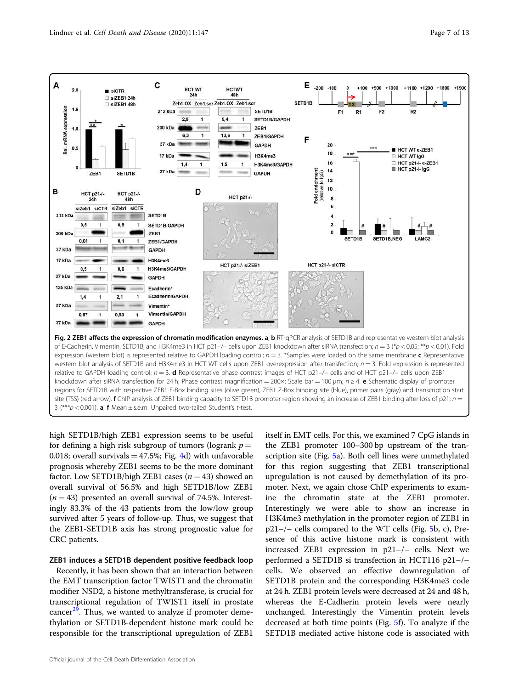<span id="page-6-0"></span>

expression (western blot) is represented relative to GAPDH loading control;  $n = 3$ . \*Samples were loaded on the same membrane c Representative western blot analysis of SETD1B and H3K4me3 in HCT WT cells upon ZEB1 overexpression after transfection;  $n = 3$ . Fold expression is represented relative to GAPDH loading control; *n* = 3. d Representative phase contrast images of HCT p21–/– cells and of HCT p21–/– cells upon ZEB1 knockdown after siRNA transfection for 24 h; Phase contrast magnification = 200×; Scale bar = 100 μm; *n* ≥ 4. e Schematic display of promoter regions for SETD1B with respective ZEB1 E-Box binding sites (olive green), ZEB1 Z-Box binding site (blue), primer pairs (gray) and transcription start site (TSS) (red arrow). **f** ChIP analysis of ZEB1 binding capacity to SETD1B promoter region showing an increase of ZEB1 binding after loss of p21; *n* = 3 (\*\*\**p* < 0.001). a, f Mean ± s.e.m. Unpaired two-tailed Student's *t*-test.

high SETD1B/high ZEB1 expression seems to be useful for defining a high risk subgroup of tumors (logrank  $p =$ 0.018; overall survivals  $=$  47.5%; Fig. [4d](#page-8-0)) with unfavorable prognosis whereby ZEB1 seems to be the more dominant factor. Low SETD1B/high ZEB1 cases  $(n = 43)$  showed an overall survival of 56.5% and high SETD1B/low ZEB1  $(n = 43)$  presented an overall survival of 74.5%. Interestingly 83.3% of the 43 patients from the low/low group survived after 5 years of follow-up. Thus, we suggest that the ZEB1-SETD1B axis has strong prognostic value for CRC patients.

# ZEB1 induces a SETD1B dependent positive feedback loop

Recently, it has been shown that an interaction between the EMT transcription factor TWIST1 and the chromatin modifier NSD2, a histone methyltransferase, is crucial for transcriptional regulation of TWIST1 itself in prostate cancer $^{29}$  $^{29}$  $^{29}$ . Thus, we wanted to analyze if promoter demethylation or SETD1B-dependent histone mark could be responsible for the transcriptional upregulation of ZEB1

Official journal of the Cell Death Differentiation Association

itself in EMT cells. For this, we examined 7 CpG islands in the ZEB1 promoter 100–300 bp upstream of the tran-scription site (Fig. [5](#page-9-0)a). Both cell lines were unmethylated for this region suggesting that ZEB1 transcriptional upregulation is not caused by demethylation of its promoter. Next, we again chose ChIP experiments to examine the chromatin state at the ZEB1 promoter. Interestingly we were able to show an increase in H3K4me3 methylation in the promoter region of ZEB1 in p21–/– cells compared to the WT cells (Fig. [5b](#page-9-0), c), Presence of this active histone mark is consistent with increased ZEB1 expression in p21–/– cells. Next we performed a SETD1B si transfection in HCT116 p21–/– cells. We observed an effective downregulation of SETD1B protein and the corresponding H3K4me3 code at 24 h. ZEB1 protein levels were decreased at 24 and 48 h, whereas the E-Cadherin protein levels were nearly unchanged. Interestingly the Vimentin protein levels decreased at both time points (Fig. [5](#page-9-0)f). To analyze if the SETD1B mediated active histone code is associated with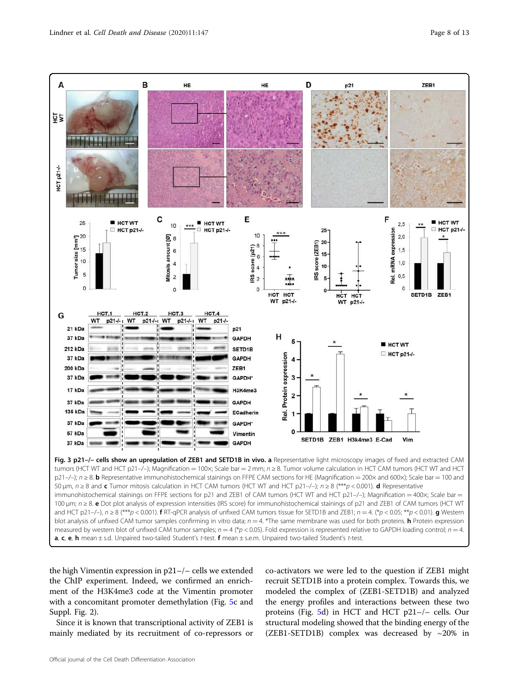<span id="page-7-0"></span>

the high Vimentin expression in p21–/– cells we extended the ChIP experiment. Indeed, we confirmed an enrichment of the H3K4me3 code at the Vimentin promoter with a concomitant promoter demethylation (Fig. [5c](#page-9-0) and Suppl. Fig. 2).

Since it is known that transcriptional activity of ZEB1 is mainly mediated by its recruitment of co-repressors or

co-activators we were led to the question if ZEB1 might recruit SETD1B into a protein complex. Towards this, we modeled the complex of (ZEB1-SETD1B) and analyzed the energy profiles and interactions between these two proteins (Fig. [5](#page-9-0)d) in HCT and HCT p21–/– cells. Our structural modeling showed that the binding energy of the (ZEB1-SETD1B) complex was decreased by  $\sim$ 20% in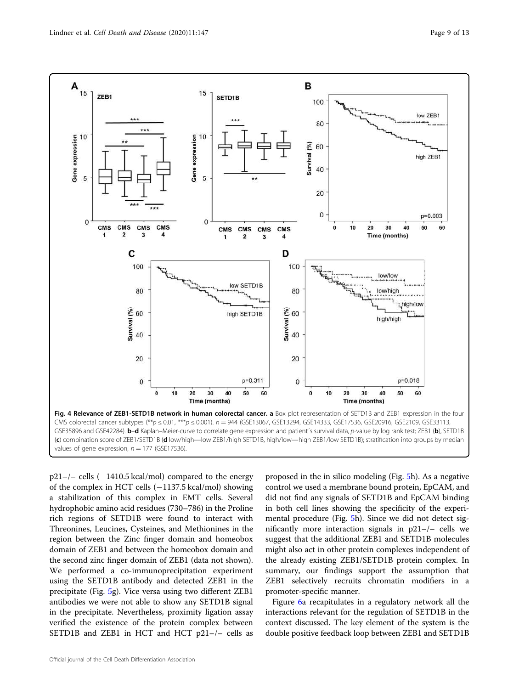<span id="page-8-0"></span>

 $p21-/-$  cells  $(-1410.5 \text{ kcal/mol})$  compared to the energy of the complex in HCT cells (−1137.5 kcal/mol) showing a stabilization of this complex in EMT cells. Several hydrophobic amino acid residues (730–786) in the Proline rich regions of SETD1B were found to interact with Threonines, Leucines, Cysteines, and Methionines in the region between the Zinc finger domain and homeobox domain of ZEB1 and between the homeobox domain and the second zinc finger domain of ZEB1 (data not shown). We performed a co-immunoprecipitation experiment using the SETD1B antibody and detected ZEB1 in the precipitate (Fig. [5g](#page-9-0)). Vice versa using two different ZEB1 antibodies we were not able to show any SETD1B signal in the precipitate. Nevertheless, proximity ligation assay verified the existence of the protein complex between SETD1B and ZEB1 in HCT and HCT p21–/– cells as

proposed in the in silico modeling (Fig. [5](#page-9-0)h). As a negative control we used a membrane bound protein, EpCAM, and did not find any signals of SETD1B and EpCAM binding in both cell lines showing the specificity of the experimental procedure (Fig. [5](#page-9-0)h). Since we did not detect significantly more interaction signals in p21–/– cells we suggest that the additional ZEB1 and SETD1B molecules might also act in other protein complexes independent of the already existing ZEB1/SETD1B protein complex. In summary, our findings support the assumption that ZEB1 selectively recruits chromatin modifiers in a promoter-specific manner.

Figure [6a](#page-10-0) recapitulates in a regulatory network all the interactions relevant for the regulation of SETD1B in the context discussed. The key element of the system is the double positive feedback loop between ZEB1 and SETD1B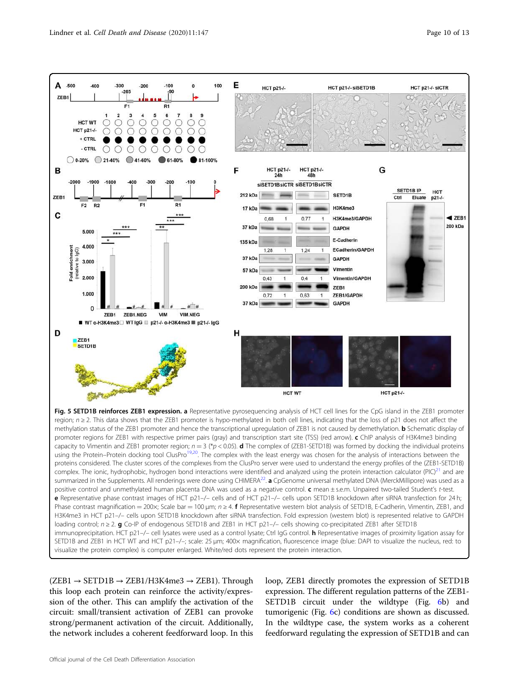<span id="page-9-0"></span>

visualize the protein complex) is computer enlarged. White/red dots represent the protein interaction.

 $(ZEB1 \rightarrow SETD1B \rightarrow ZEB1/H3K4me3 \rightarrow ZEB1)$ . Through this loop each protein can reinforce the activity/expression of the other. This can amplify the activation of the circuit: small/transient activation of ZEB1 can provoke strong/permanent activation of the circuit. Additionally, the network includes a coherent feedforward loop. In this loop, ZEB1 directly promotes the expression of SETD1B expression. The different regulation patterns of the ZEB1- SETD1B circuit under the wildtype (Fig. [6](#page-10-0)b) and tumorigenic (Fig. [6c](#page-10-0)) conditions are shown as discussed. In the wildtype case, the system works as a coherent feedforward regulating the expression of SETD1B and can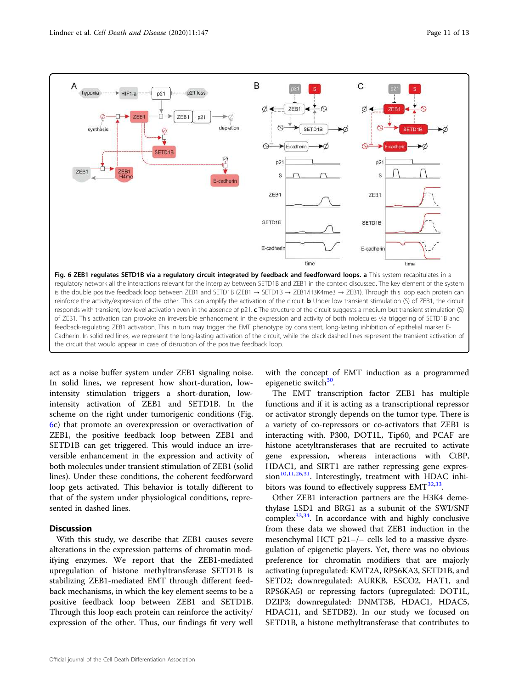<span id="page-10-0"></span>

act as a noise buffer system under ZEB1 signaling noise. In solid lines, we represent how short-duration, lowintensity stimulation triggers a short-duration, lowintensity activation of ZEB1 and SETD1B. In the scheme on the right under tumorigenic conditions (Fig. 6c) that promote an overexpression or overactivation of ZEB1, the positive feedback loop between ZEB1 and SETD1B can get triggered. This would induce an irreversible enhancement in the expression and activity of both molecules under transient stimulation of ZEB1 (solid lines). Under these conditions, the coherent feedforward loop gets activated. This behavior is totally different to that of the system under physiological conditions, represented in dashed lines.

# **Discussion**

With this study, we describe that ZEB1 causes severe alterations in the expression patterns of chromatin modifying enzymes. We report that the ZEB1-mediated upregulation of histone methyltransferase SETD1B is stabilizing ZEB1-mediated EMT through different feedback mechanisms, in which the key element seems to be a positive feedback loop between ZEB1 and SETD1B. Through this loop each protein can reinforce the activity/ expression of the other. Thus, our findings fit very well with the concept of EMT induction as a programmed epigenetic switch<sup>[30](#page-12-0)</sup>.

The EMT transcription factor ZEB1 has multiple functions and if it is acting as a transcriptional repressor or activator strongly depends on the tumor type. There is a variety of co-repressors or co-activators that ZEB1 is interacting with. P300, DOT1L, Tip60, and PCAF are histone acetyltransferases that are recruited to activate gene expression, whereas interactions with CtBP, HDAC1, and SIRT1 are rather repressing gene expres-sion<sup>[10,11,26,31](#page-12-0)</sup>. Interestingly, treatment with HDAC inhibitors was found to effectively suppress  $EMT<sup>32,33</sup>$  $EMT<sup>32,33</sup>$  $EMT<sup>32,33</sup>$  $EMT<sup>32,33</sup>$  $EMT<sup>32,33</sup>$ .

Other ZEB1 interaction partners are the H3K4 demethylase LSD1 and BRG1 as a subunit of the SWI/SNF complex $33,34$ . In accordance with and highly conclusive from these data we showed that ZEB1 induction in the mesenchymal HCT p21–/– cells led to a massive dysregulation of epigenetic players. Yet, there was no obvious preference for chromatin modifiers that are majorly activating (upregulated: KMT2A, RPS6KA3, SETD1B, and SETD2; downregulated: AURKB, ESCO2, HAT1, and RPS6KA5) or repressing factors (upregulated: DOT1L, DZIP3; downregulated: DNMT3B, HDAC1, HDAC5, HDAC11, and SETDB2). In our study we focused on SETD1B, a histone methyltransferase that contributes to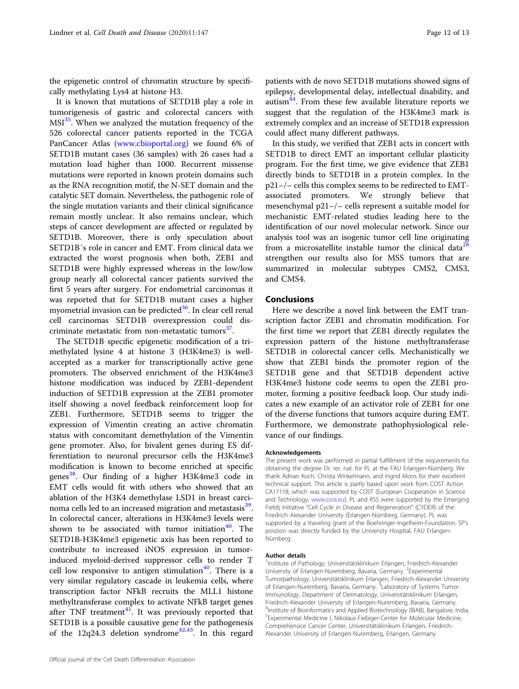the epigenetic control of chromatin structure by specifically methylating Lys4 at histone H3.

It is known that mutations of SETD1B play a role in tumorigenesis of gastric and colorectal cancers with  $MSI<sup>35</sup>$  $MSI<sup>35</sup>$  $MSI<sup>35</sup>$ . When we analyzed the mutation frequency of the 526 colorectal cancer patients reported in the TCGA PanCancer Atlas [\(www.cbioportal.org\)](http://www.cbioportal.org) we found 6% of SETD1B mutant cases (36 samples) with 26 cases had a mutation load higher than 1000. Recurrent missense mutations were reported in known protein domains such as the RNA recognition motif, the N-SET domain and the catalytic SET domain. Nevertheless, the pathogenic role of the single mutation variants and their clinical significance remain mostly unclear. It also remains unclear, which steps of cancer development are affected or regulated by SETD1B. Moreover, there is only speculation about SETD1B´s role in cancer and EMT. From clinical data we extracted the worst prognosis when both, ZEB1 and SETD1B were highly expressed whereas in the low/low group nearly all colorectal cancer patients survived the first 5 years after surgery. For endometrial carcinomas it was reported that for SETD1B mutant cases a higher myometrial invasion can be predicted $36$ . In clear cell renal cell carcinomas SETD1B overexpression could dis-criminate metastatic from non-metastatic tumors<sup>[37](#page-12-0)</sup>.

The SETD1B specific epigenetic modification of a trimethylated lysine 4 at histone 3 (H3K4me3) is wellaccepted as a marker for transcriptionally active gene promoters. The observed enrichment of the H3K4me3 histone modification was induced by ZEB1-dependent induction of SETD1B expression at the ZEB1 promoter itself showing a novel feedback reinforcement loop for ZEB1. Furthermore, SETD1B seems to trigger the expression of Vimentin creating an active chromatin status with concomitant demethylation of the Vimentin gene promoter. Also, for bivalent genes during ES differentiation to neuronal precursor cells the H3K4me3 modification is known to become enriched at specific genes<sup>[38](#page-12-0)</sup>. Our finding of a higher H3K4me3 code in EMT cells would fit with others who showed that an ablation of the H3K4 demethylase LSD1 in breast carci-noma cells led to an increased migration and metastasis<sup>[39](#page-12-0)</sup>. In colorectal cancer, alterations in H3K4me3 levels were shown to be associated with tumor initiation<sup>[40](#page-12-0)</sup>. The SETD1B-H3K4me3 epigenetic axis has been reported to contribute to increased iNOS expression in tumorinduced myeloid-derived suppressor cells to render T cell low responsive to antigen stimulation<sup>[40](#page-12-0)</sup>. There is a very similar regulatory cascade in leukemia cells, where transcription factor NFkB recruits the MLL1 histone methyltransferase complex to activate NFkB target genes after TNF treatment $41$ . It was previously reported that SETD1B is a possible causative gene for the pathogenesis of the 12q24.3 deletion syndrome<sup>[42,43](#page-12-0)</sup>. In this regard

patients with de novo SETD1B mutations showed signs of epilepsy, developmental delay, intellectual disability, and autism $44$ . From these few available literature reports we suggest that the regulation of the H3K4me3 mark is extremely complex and an increase of SETD1B expression could affect many different pathways.

In this study, we verified that ZEB1 acts in concert with SETD1B to direct EMT an important cellular plasticity program. For the first time, we give evidence that ZEB1 directly binds to SETD1B in a protein complex. In the p21–/– cells this complex seems to be redirected to EMTassociated promoters. We strongly believe that mesenchymal p21–/– cells represent a suitable model for mechanistic EMT-related studies leading here to the identification of our novel molecular network. Since our analysis tool was an isogenic tumor cell line originating from a microsatellite instable tumor the clinical data<sup>[28](#page-12-0)</sup> strengthen our results also for MSS tumors that are summarized in molecular subtypes CMS2, CMS3, and CMS4.

# **Conclusions**

Here we describe a novel link between the EMT transcription factor ZEB1 and chromatin modification. For the first time we report that ZEB1 directly regulates the expression pattern of the histone methyltransferase SETD1B in colorectal cancer cells. Mechanistically we show that ZEB1 binds the promoter region of the SETD1B gene and that SETD1B dependent active H3K4me3 histone code seems to open the ZEB1 promoter, forming a positive feedback loop. Our study indicates a new example of an activator role of ZEB1 for one of the diverse functions that tumors acquire during EMT. Furthermore, we demonstrate pathophysiological relevance of our findings.

#### Acknowledgements

The present work was performed in partial fulfillment of the requirements for obtaining the degree Dr. rer. nat. for PL at the FAU Erlangen-Nürnberg. We thank Adrian Koch, Christa Winkelmann, and Ingrid Mons for their excellent technical support. This article is partly based upon work from COST Action CA17118, which was supported by COST (European Cooperation in Science and Technology, [www.cost.eu\)](http://www.cost.eu). PL and RSS were supported by the Emerging Fields Initiative "Cell Cycle in Disease and Regeneration" (CYDER) of the Friedrich Alexander University (Erlangen-Nürnberg, Germany). PL was supported by a traveling grant of the Boehringer-Ingelheim-Foundation. SP's position was directly funded by the University Hospital, FAU Erlangen-Nürnberg.

#### Author details

<sup>1</sup>Institute of Pathology, Universitätsklinikum Erlangen, Friedrich-Alexander University of Erlangen-Nuremberg, Bavaria, Germany. <sup>2</sup>Experimental Tumorpathology, Universitätsklinikum Erlangen, Friedrich-Alexander University of Erlangen-Nuremberg, Bavaria, Germany. <sup>3</sup> Laboratory of Systems Tumor Immunology, Department of Dermatology, Universitätsklinikum Erlangen, Friedrich-Alexander University of Erlangen-Nuremberg, Bavaria, Germany. 4 Institute of Bioinformatics and Applied Biotechnology (IBAB), Bangalore, India. 5 Experimental Medicine I, Nikolaus-Fiebiger-Center for Molecular Medicine, Comprehensice Cancer Center, Universitätsklinikum Erlangen, Friedrich-Alexander University of Erlangen-Nuremberg, Erlangen, Germany